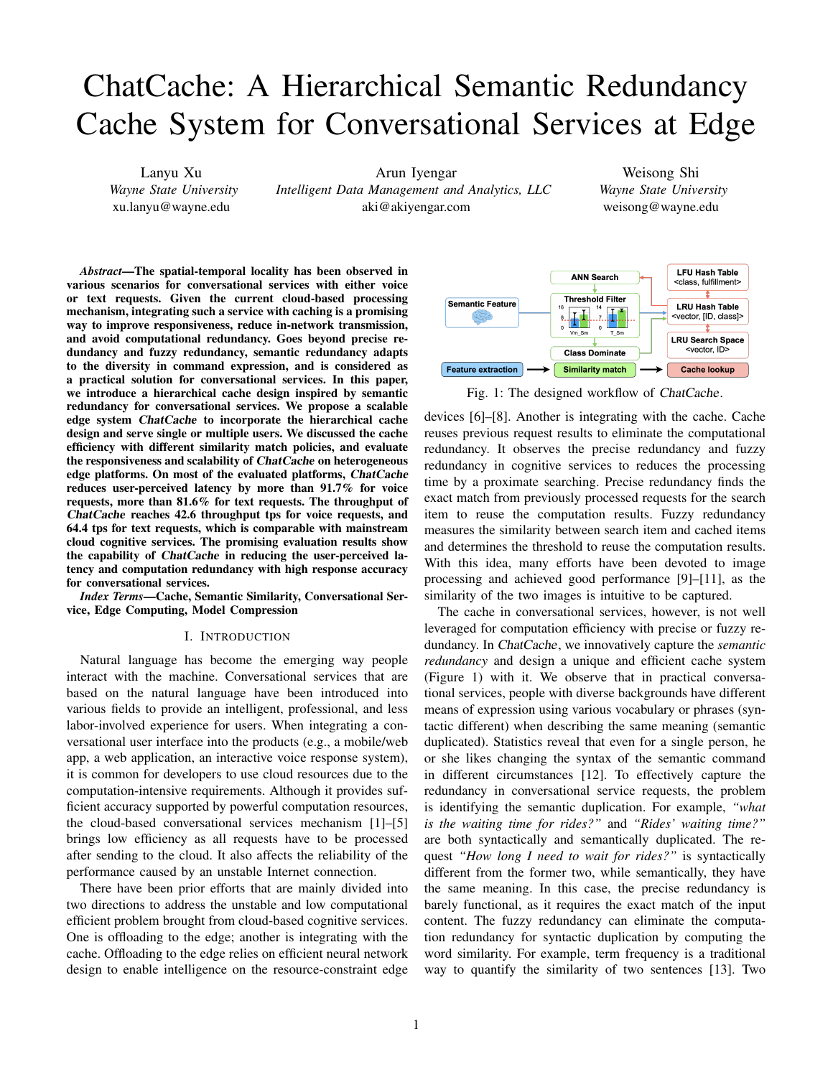# ChatCache: A Hierarchical Semantic Redundancy Cache System for Conversational Services at Edge

Lanyu Xu *Wayne State University* xu.lanyu@wayne.edu

Arun Iyengar *Intelligent Data Management and Analytics, LLC* aki@akiyengar.com

Weisong Shi *Wayne State University* weisong@wayne.edu

*Abstract*—The spatial-temporal locality has been observed in various scenarios for conversational services with either voice or text requests. Given the current cloud-based processing mechanism, integrating such a service with caching is a promising way to improve responsiveness, reduce in-network transmission, and avoid computational redundancy. Goes beyond precise redundancy and fuzzy redundancy, semantic redundancy adapts to the diversity in command expression, and is considered as a practical solution for conversational services. In this paper, we introduce a hierarchical cache design inspired by semantic redundancy for conversational services. We propose a scalable edge system ChatCache to incorporate the hierarchical cache design and serve single or multiple users. We discussed the cache efficiency with different similarity match policies, and evaluate the responsiveness and scalability of ChatCache on heterogeneous edge platforms. On most of the evaluated platforms, ChatCache reduces user-perceived latency by more than 91.7% for voice requests, more than 81.6% for text requests. The throughput of ChatCache reaches 42.6 throughput tps for voice requests, and 64.4 tps for text requests, which is comparable with mainstream cloud cognitive services. The promising evaluation results show the capability of ChatCache in reducing the user-perceived latency and computation redundancy with high response accuracy for conversational services.

*Index Terms*—Cache, Semantic Similarity, Conversational Service, Edge Computing, Model Compression

## I. INTRODUCTION

Natural language has become the emerging way people interact with the machine. Conversational services that are based on the natural language have been introduced into various fields to provide an intelligent, professional, and less labor-involved experience for users. When integrating a conversational user interface into the products (e.g., a mobile/web app, a web application, an interactive voice response system), it is common for developers to use cloud resources due to the computation-intensive requirements. Although it provides sufficient accuracy supported by powerful computation resources, the cloud-based conversational services mechanism [1]–[5] brings low efficiency as all requests have to be processed after sending to the cloud. It also affects the reliability of the performance caused by an unstable Internet connection.

There have been prior efforts that are mainly divided into two directions to address the unstable and low computational efficient problem brought from cloud-based cognitive services. One is offloading to the edge; another is integrating with the cache. Offloading to the edge relies on efficient neural network design to enable intelligence on the resource-constraint edge



Fig. 1: The designed workflow of ChatCache.

devices [6]–[8]. Another is integrating with the cache. Cache reuses previous request results to eliminate the computational redundancy. It observes the precise redundancy and fuzzy redundancy in cognitive services to reduces the processing time by a proximate searching. Precise redundancy finds the exact match from previously processed requests for the search item to reuse the computation results. Fuzzy redundancy measures the similarity between search item and cached items and determines the threshold to reuse the computation results. With this idea, many efforts have been devoted to image processing and achieved good performance [9]–[11], as the similarity of the two images is intuitive to be captured.

The cache in conversational services, however, is not well leveraged for computation efficiency with precise or fuzzy redundancy. In ChatCache, we innovatively capture the *semantic redundancy* and design a unique and efficient cache system (Figure 1) with it. We observe that in practical conversational services, people with diverse backgrounds have different means of expression using various vocabulary or phrases (syntactic different) when describing the same meaning (semantic duplicated). Statistics reveal that even for a single person, he or she likes changing the syntax of the semantic command in different circumstances [12]. To effectively capture the redundancy in conversational service requests, the problem is identifying the semantic duplication. For example, *"what is the waiting time for rides?"* and *"Rides' waiting time?"* are both syntactically and semantically duplicated. The request *"How long I need to wait for rides?"* is syntactically different from the former two, while semantically, they have the same meaning. In this case, the precise redundancy is barely functional, as it requires the exact match of the input content. The fuzzy redundancy can eliminate the computation redundancy for syntactic duplication by computing the word similarity. For example, term frequency is a traditional way to quantify the similarity of two sentences [13]. Two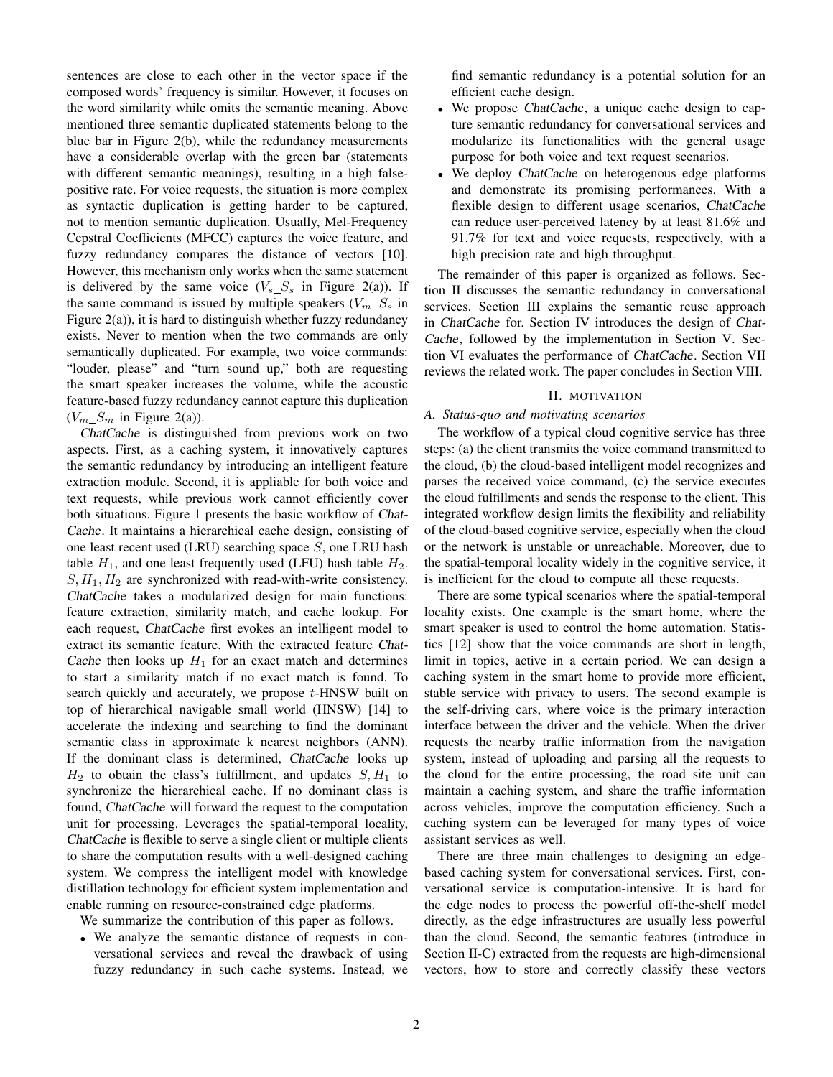sentences are close to each other in the vector space if the composed words' frequency is similar. However, it focuses on the word similarity while omits the semantic meaning. Above mentioned three semantic duplicated statements belong to the blue bar in Figure 2(b), while the redundancy measurements have a considerable overlap with the green bar (statements with different semantic meanings), resulting in a high falsepositive rate. For voice requests, the situation is more complex as syntactic duplication is getting harder to be captured, not to mention semantic duplication. Usually, Mel-Frequency Cepstral Coefficients (MFCC) captures the voice feature, and fuzzy redundancy compares the distance of vectors [10]. However, this mechanism only works when the same statement is delivered by the same voice  $(V_s S_s$  in Figure 2(a)). If the same command is issued by multiple speakers  $(V_m S_s)$  in Figure 2(a)), it is hard to distinguish whether fuzzy redundancy exists. Never to mention when the two commands are only semantically duplicated. For example, two voice commands: "louder, please" and "turn sound up," both are requesting the smart speaker increases the volume, while the acoustic feature-based fuzzy redundancy cannot capture this duplication  $(V_m S_m$  in Figure 2(a)).

ChatCache is distinguished from previous work on two aspects. First, as a caching system, it innovatively captures the semantic redundancy by introducing an intelligent feature extraction module. Second, it is appliable for both voice and text requests, while previous work cannot efficiently cover both situations. Figure 1 presents the basic workflow of Chat-Cache. It maintains a hierarchical cache design, consisting of one least recent used (LRU) searching space  $S$ , one LRU hash table  $H_1$ , and one least frequently used (LFU) hash table  $H_2$ .  $S, H_1, H_2$  are synchronized with read-with-write consistency. ChatCache takes a modularized design for main functions: feature extraction, similarity match, and cache lookup. For each request, ChatCache first evokes an intelligent model to extract its semantic feature. With the extracted feature Chat-Cache then looks up  $H_1$  for an exact match and determines to start a similarity match if no exact match is found. To search quickly and accurately, we propose t-HNSW built on top of hierarchical navigable small world (HNSW) [14] to accelerate the indexing and searching to find the dominant semantic class in approximate k nearest neighbors (ANN). If the dominant class is determined, ChatCache looks up  $H_2$  to obtain the class's fulfillment, and updates  $S, H_1$  to synchronize the hierarchical cache. If no dominant class is found, ChatCache will forward the request to the computation unit for processing. Leverages the spatial-temporal locality, ChatCache is flexible to serve a single client or multiple clients to share the computation results with a well-designed caching system. We compress the intelligent model with knowledge distillation technology for efficient system implementation and enable running on resource-constrained edge platforms.

We summarize the contribution of this paper as follows.

• We analyze the semantic distance of requests in conversational services and reveal the drawback of using fuzzy redundancy in such cache systems. Instead, we find semantic redundancy is a potential solution for an efficient cache design.

- We propose ChatCache, a unique cache design to capture semantic redundancy for conversational services and modularize its functionalities with the general usage purpose for both voice and text request scenarios.
- We deploy ChatCache on heterogenous edge platforms and demonstrate its promising performances. With a flexible design to different usage scenarios, ChatCache can reduce user-perceived latency by at least 81.6% and 91.7% for text and voice requests, respectively, with a high precision rate and high throughput.

The remainder of this paper is organized as follows. Section II discusses the semantic redundancy in conversational services. Section III explains the semantic reuse approach in ChatCache for. Section IV introduces the design of Chat-Cache, followed by the implementation in Section V. Section VI evaluates the performance of ChatCache. Section VII reviews the related work. The paper concludes in Section VIII.

#### II. MOTIVATION

#### *A. Status-quo and motivating scenarios*

The workflow of a typical cloud cognitive service has three steps: (a) the client transmits the voice command transmitted to the cloud, (b) the cloud-based intelligent model recognizes and parses the received voice command, (c) the service executes the cloud fulfillments and sends the response to the client. This integrated workflow design limits the flexibility and reliability of the cloud-based cognitive service, especially when the cloud or the network is unstable or unreachable. Moreover, due to the spatial-temporal locality widely in the cognitive service, it is inefficient for the cloud to compute all these requests.

There are some typical scenarios where the spatial-temporal locality exists. One example is the smart home, where the smart speaker is used to control the home automation. Statistics [12] show that the voice commands are short in length, limit in topics, active in a certain period. We can design a caching system in the smart home to provide more efficient, stable service with privacy to users. The second example is the self-driving cars, where voice is the primary interaction interface between the driver and the vehicle. When the driver requests the nearby traffic information from the navigation system, instead of uploading and parsing all the requests to the cloud for the entire processing, the road site unit can maintain a caching system, and share the traffic information across vehicles, improve the computation efficiency. Such a caching system can be leveraged for many types of voice assistant services as well.

There are three main challenges to designing an edgebased caching system for conversational services. First, conversational service is computation-intensive. It is hard for the edge nodes to process the powerful off-the-shelf model directly, as the edge infrastructures are usually less powerful than the cloud. Second, the semantic features (introduce in Section II-C) extracted from the requests are high-dimensional vectors, how to store and correctly classify these vectors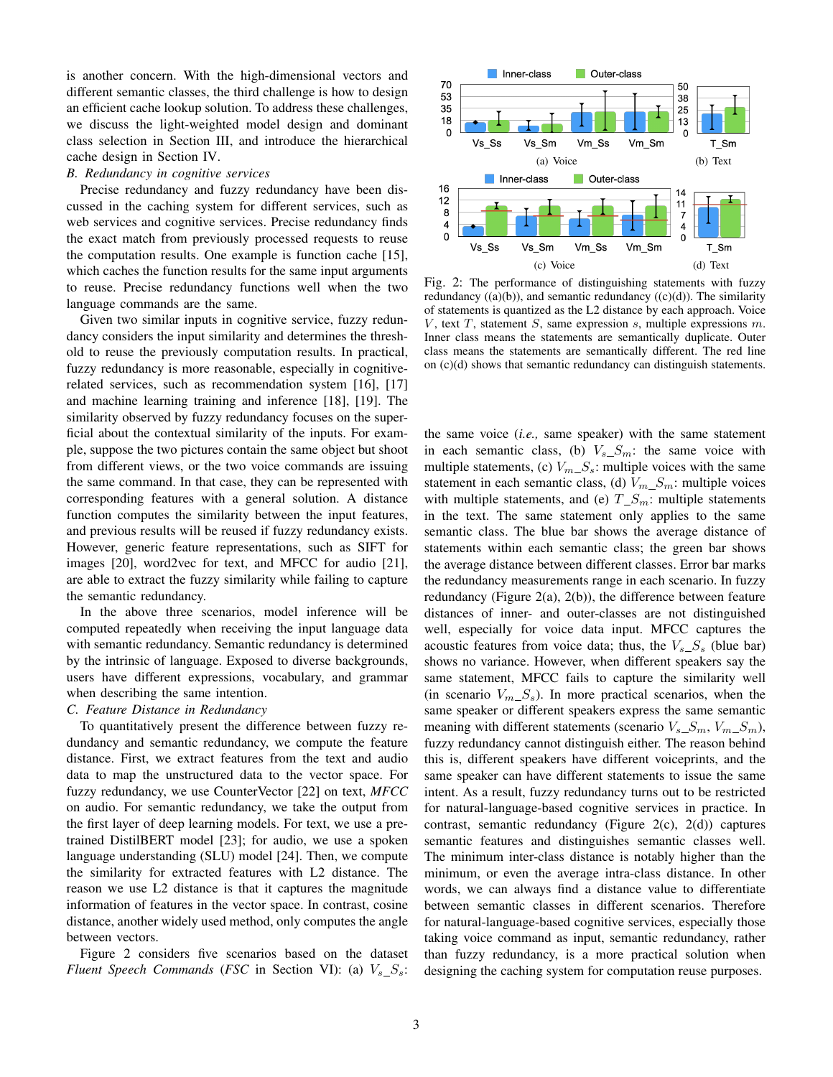is another concern. With the high-dimensional vectors and different semantic classes, the third challenge is how to design an efficient cache lookup solution. To address these challenges, we discuss the light-weighted model design and dominant class selection in Section III, and introduce the hierarchical cache design in Section IV.

## *B. Redundancy in cognitive services*

Precise redundancy and fuzzy redundancy have been discussed in the caching system for different services, such as web services and cognitive services. Precise redundancy finds the exact match from previously processed requests to reuse the computation results. One example is function cache [15], which caches the function results for the same input arguments to reuse. Precise redundancy functions well when the two language commands are the same.

Given two similar inputs in cognitive service, fuzzy redundancy considers the input similarity and determines the threshold to reuse the previously computation results. In practical, fuzzy redundancy is more reasonable, especially in cognitiverelated services, such as recommendation system [16], [17] and machine learning training and inference [18], [19]. The similarity observed by fuzzy redundancy focuses on the superficial about the contextual similarity of the inputs. For example, suppose the two pictures contain the same object but shoot from different views, or the two voice commands are issuing the same command. In that case, they can be represented with corresponding features with a general solution. A distance function computes the similarity between the input features, and previous results will be reused if fuzzy redundancy exists. However, generic feature representations, such as SIFT for images [20], word2vec for text, and MFCC for audio [21], are able to extract the fuzzy similarity while failing to capture the semantic redundancy.

In the above three scenarios, model inference will be computed repeatedly when receiving the input language data with semantic redundancy. Semantic redundancy is determined by the intrinsic of language. Exposed to diverse backgrounds, users have different expressions, vocabulary, and grammar when describing the same intention.

#### *C. Feature Distance in Redundancy*

To quantitatively present the difference between fuzzy redundancy and semantic redundancy, we compute the feature distance. First, we extract features from the text and audio data to map the unstructured data to the vector space. For fuzzy redundancy, we use CounterVector [22] on text, *MFCC* on audio. For semantic redundancy, we take the output from the first layer of deep learning models. For text, we use a pretrained DistilBERT model [23]; for audio, we use a spoken language understanding (SLU) model [24]. Then, we compute the similarity for extracted features with L2 distance. The reason we use L2 distance is that it captures the magnitude information of features in the vector space. In contrast, cosine distance, another widely used method, only computes the angle between vectors.

Figure 2 considers five scenarios based on the dataset *Fluent Speech Commands* (*FSC* in Section VI): (a)  $V_s S_s$ :



Fig. 2: The performance of distinguishing statements with fuzzy redundancy  $((a)(b))$ , and semantic redundancy  $((c)(d))$ . The similarity of statements is quantized as the L2 distance by each approach. Voice V, text  $T$ , statement  $S$ , same expression  $s$ , multiple expressions  $m$ . Inner class means the statements are semantically duplicate. Outer class means the statements are semantically different. The red line on (c)(d) shows that semantic redundancy can distinguish statements.

the same voice (*i.e.,* same speaker) with the same statement in each semantic class, (b)  $V_s S_m$ : the same voice with multiple statements, (c)  $V_{m}\_S$ : multiple voices with the same statement in each semantic class, (d)  $V_{m}\_S_m$ : multiple voices with multiple statements, and (e)  $T\_S_m$ : multiple statements in the text. The same statement only applies to the same semantic class. The blue bar shows the average distance of statements within each semantic class; the green bar shows the average distance between different classes. Error bar marks the redundancy measurements range in each scenario. In fuzzy redundancy (Figure 2(a), 2(b)), the difference between feature distances of inner- and outer-classes are not distinguished well, especially for voice data input. MFCC captures the acoustic features from voice data; thus, the  $V_s S_s$  (blue bar) shows no variance. However, when different speakers say the same statement, MFCC fails to capture the similarity well (in scenario  $V_{m_1}S_s$ ). In more practical scenarios, when the same speaker or different speakers express the same semantic meaning with different statements (scenario  $V_{s_1}S_m$ ,  $V_{m_1}S_m$ ), fuzzy redundancy cannot distinguish either. The reason behind this is, different speakers have different voiceprints, and the same speaker can have different statements to issue the same intent. As a result, fuzzy redundancy turns out to be restricted for natural-language-based cognitive services in practice. In contrast, semantic redundancy (Figure 2(c), 2(d)) captures semantic features and distinguishes semantic classes well. The minimum inter-class distance is notably higher than the minimum, or even the average intra-class distance. In other words, we can always find a distance value to differentiate between semantic classes in different scenarios. Therefore for natural-language-based cognitive services, especially those taking voice command as input, semantic redundancy, rather than fuzzy redundancy, is a more practical solution when designing the caching system for computation reuse purposes.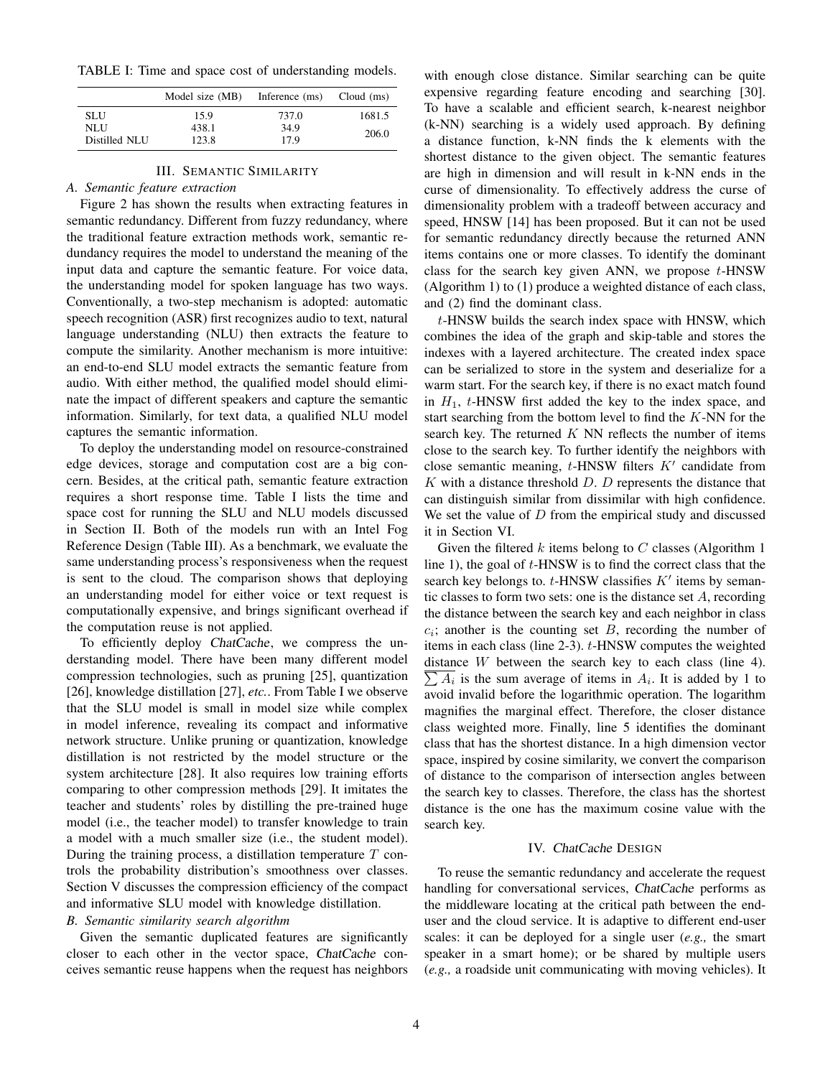TABLE I: Time and space cost of understanding models.

|                      | Model size (MB) | Inference (ms) | $Cloud$ (ms) |
|----------------------|-----------------|----------------|--------------|
| <b>SLU</b>           | 15.9            | 737.0          | 1681.5       |
| NLU<br>Distilled NLU | 438.1<br>123.8  | 34.9<br>17.9   | 206.0        |

#### III. SEMANTIC SIMILARITY

# *A. Semantic feature extraction*

Figure 2 has shown the results when extracting features in semantic redundancy. Different from fuzzy redundancy, where the traditional feature extraction methods work, semantic redundancy requires the model to understand the meaning of the input data and capture the semantic feature. For voice data, the understanding model for spoken language has two ways. Conventionally, a two-step mechanism is adopted: automatic speech recognition (ASR) first recognizes audio to text, natural language understanding (NLU) then extracts the feature to compute the similarity. Another mechanism is more intuitive: an end-to-end SLU model extracts the semantic feature from audio. With either method, the qualified model should eliminate the impact of different speakers and capture the semantic information. Similarly, for text data, a qualified NLU model captures the semantic information.

To deploy the understanding model on resource-constrained edge devices, storage and computation cost are a big concern. Besides, at the critical path, semantic feature extraction requires a short response time. Table I lists the time and space cost for running the SLU and NLU models discussed in Section II. Both of the models run with an Intel Fog Reference Design (Table III). As a benchmark, we evaluate the same understanding process's responsiveness when the request is sent to the cloud. The comparison shows that deploying an understanding model for either voice or text request is computationally expensive, and brings significant overhead if the computation reuse is not applied.

To efficiently deploy ChatCache, we compress the understanding model. There have been many different model compression technologies, such as pruning [25], quantization [26], knowledge distillation [27], *etc.*. From Table I we observe that the SLU model is small in model size while complex in model inference, revealing its compact and informative network structure. Unlike pruning or quantization, knowledge distillation is not restricted by the model structure or the system architecture [28]. It also requires low training efforts comparing to other compression methods [29]. It imitates the teacher and students' roles by distilling the pre-trained huge model (i.e., the teacher model) to transfer knowledge to train a model with a much smaller size (i.e., the student model). During the training process, a distillation temperature  $T$  controls the probability distribution's smoothness over classes. Section V discusses the compression efficiency of the compact and informative SLU model with knowledge distillation.

# *B. Semantic similarity search algorithm*

Given the semantic duplicated features are significantly closer to each other in the vector space, ChatCache conceives semantic reuse happens when the request has neighbors

with enough close distance. Similar searching can be quite expensive regarding feature encoding and searching [30]. To have a scalable and efficient search, k-nearest neighbor (k-NN) searching is a widely used approach. By defining a distance function, k-NN finds the k elements with the shortest distance to the given object. The semantic features are high in dimension and will result in k-NN ends in the curse of dimensionality. To effectively address the curse of dimensionality problem with a tradeoff between accuracy and speed, HNSW [14] has been proposed. But it can not be used for semantic redundancy directly because the returned ANN items contains one or more classes. To identify the dominant class for the search key given ANN, we propose  $t$ -HNSW (Algorithm 1) to (1) produce a weighted distance of each class, and (2) find the dominant class.

t-HNSW builds the search index space with HNSW, which combines the idea of the graph and skip-table and stores the indexes with a layered architecture. The created index space can be serialized to store in the system and deserialize for a warm start. For the search key, if there is no exact match found in  $H_1$ ,  $t$ -HNSW first added the key to the index space, and start searching from the bottom level to find the  $K-NN$  for the search key. The returned  $K$  NN reflects the number of items close to the search key. To further identify the neighbors with close semantic meaning,  $t$ -HNSW filters  $K'$  candidate from K with a distance threshold  $D$ . D represents the distance that can distinguish similar from dissimilar with high confidence. We set the value of  $D$  from the empirical study and discussed it in Section VI.

Given the filtered  $k$  items belong to  $C$  classes (Algorithm 1) line 1), the goal of t-HNSW is to find the correct class that the search key belongs to.  $t$ -HNSW classifies  $K'$  items by semantic classes to form two sets: one is the distance set  $A$ , recording the distance between the search key and each neighbor in class  $c_i$ ; another is the counting set  $B$ , recording the number of items in each class (line 2-3). t-HNSW computes the weighted  $\sum A_i$  is the sum average of items in  $A_i$ . It is added by 1 to distance  $W$  between the search key to each class (line 4). avoid invalid before the logarithmic operation. The logarithm magnifies the marginal effect. Therefore, the closer distance class weighted more. Finally, line 5 identifies the dominant class that has the shortest distance. In a high dimension vector space, inspired by cosine similarity, we convert the comparison of distance to the comparison of intersection angles between the search key to classes. Therefore, the class has the shortest distance is the one has the maximum cosine value with the search key.

#### IV. ChatCache DESIGN

To reuse the semantic redundancy and accelerate the request handling for conversational services, ChatCache performs as the middleware locating at the critical path between the enduser and the cloud service. It is adaptive to different end-user scales: it can be deployed for a single user (*e.g.,* the smart speaker in a smart home); or be shared by multiple users (*e.g.,* a roadside unit communicating with moving vehicles). It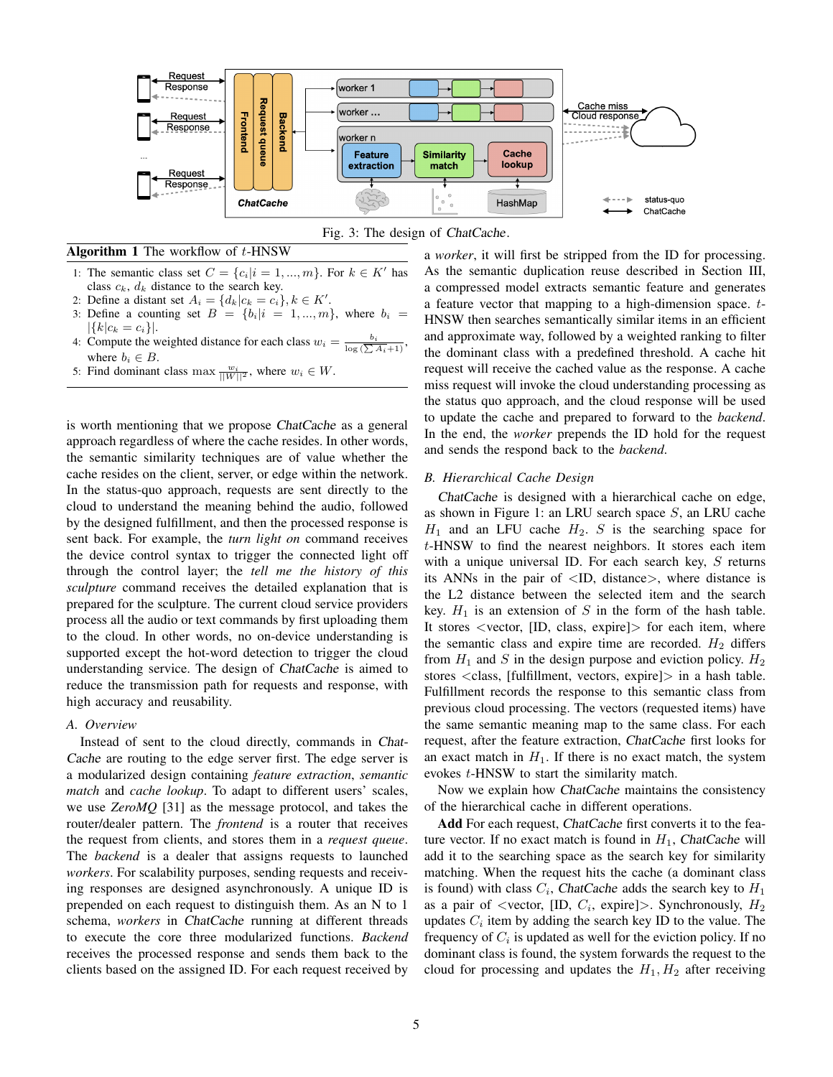



Algorithm 1 The workflow of  $t$ -HNSW

- 1: The semantic class set  $C = \{c_i | i = 1, ..., m\}$ . For  $k \in K'$  has class  $c_k$ ,  $d_k$  distance to the search key.
- 2: Define a distant set  $A_i = \{d_k | c_k = c_i\}, k \in K'.$
- 3: Define a counting set  $B = \{b_i | i = 1, ..., m\}$ , where  $b_i =$  $|\{k|c_k = c_i\}|.$
- 4: Compute the weighted distance for each class  $w_i = \frac{b_i}{\log(\sum A_i + 1)}$ , where  $b_i \in B$ .
- 5: Find dominant class max  $\frac{w_i}{||W||^2}$ , where  $w_i \in W$ .

is worth mentioning that we propose ChatCache as a general approach regardless of where the cache resides. In other words, the semantic similarity techniques are of value whether the cache resides on the client, server, or edge within the network. In the status-quo approach, requests are sent directly to the cloud to understand the meaning behind the audio, followed by the designed fulfillment, and then the processed response is sent back. For example, the *turn light on* command receives the device control syntax to trigger the connected light off through the control layer; the *tell me the history of this sculpture* command receives the detailed explanation that is prepared for the sculpture. The current cloud service providers process all the audio or text commands by first uploading them to the cloud. In other words, no on-device understanding is supported except the hot-word detection to trigger the cloud understanding service. The design of ChatCache is aimed to reduce the transmission path for requests and response, with high accuracy and reusability.

## *A. Overview*

Instead of sent to the cloud directly, commands in Chat-Cache are routing to the edge server first. The edge server is a modularized design containing *feature extraction*, *semantic match* and *cache lookup*. To adapt to different users' scales, we use *ZeroMQ* [31] as the message protocol, and takes the router/dealer pattern. The *frontend* is a router that receives the request from clients, and stores them in a *request queue*. The *backend* is a dealer that assigns requests to launched *workers*. For scalability purposes, sending requests and receiving responses are designed asynchronously. A unique ID is prepended on each request to distinguish them. As an N to 1 schema, *workers* in ChatCache running at different threads to execute the core three modularized functions. *Backend* receives the processed response and sends them back to the clients based on the assigned ID. For each request received by

a *worker*, it will first be stripped from the ID for processing. As the semantic duplication reuse described in Section III, a compressed model extracts semantic feature and generates a feature vector that mapping to a high-dimension space. t-HNSW then searches semantically similar items in an efficient and approximate way, followed by a weighted ranking to filter the dominant class with a predefined threshold. A cache hit request will receive the cached value as the response. A cache miss request will invoke the cloud understanding processing as the status quo approach, and the cloud response will be used to update the cache and prepared to forward to the *backend*. In the end, the *worker* prepends the ID hold for the request and sends the respond back to the *backend*.

## *B. Hierarchical Cache Design*

ChatCache is designed with a hierarchical cache on edge, as shown in Figure 1: an LRU search space  $S$ , an LRU cache  $H_1$  and an LFU cache  $H_2$ . S is the searching space for  $t$ -HNSW to find the nearest neighbors. It stores each item with a unique universal ID. For each search key,  $S$  returns its ANNs in the pair of  $\langle$ ID, distance $\rangle$ , where distance is the L2 distance between the selected item and the search key.  $H_1$  is an extension of S in the form of the hash table. It stores <vector, [ID, class, expire]> for each item, where the semantic class and expire time are recorded.  $H_2$  differs from  $H_1$  and S in the design purpose and eviction policy.  $H_2$ stores <class, [fulfillment, vectors, expire]> in a hash table. Fulfillment records the response to this semantic class from previous cloud processing. The vectors (requested items) have the same semantic meaning map to the same class. For each request, after the feature extraction, ChatCache first looks for an exact match in  $H_1$ . If there is no exact match, the system evokes t-HNSW to start the similarity match.

Now we explain how ChatCache maintains the consistency of the hierarchical cache in different operations.

Add For each request, ChatCache first converts it to the feature vector. If no exact match is found in  $H_1$ , ChatCache will add it to the searching space as the search key for similarity matching. When the request hits the cache (a dominant class is found) with class  $C_i$ , ChatCache adds the search key to  $H_1$ as a pair of <vector, [ID,  $C_i$ , expire]>. Synchronously,  $H_2$ updates  $C_i$  item by adding the search key ID to the value. The frequency of  $C_i$  is updated as well for the eviction policy. If no dominant class is found, the system forwards the request to the cloud for processing and updates the  $H_1, H_2$  after receiving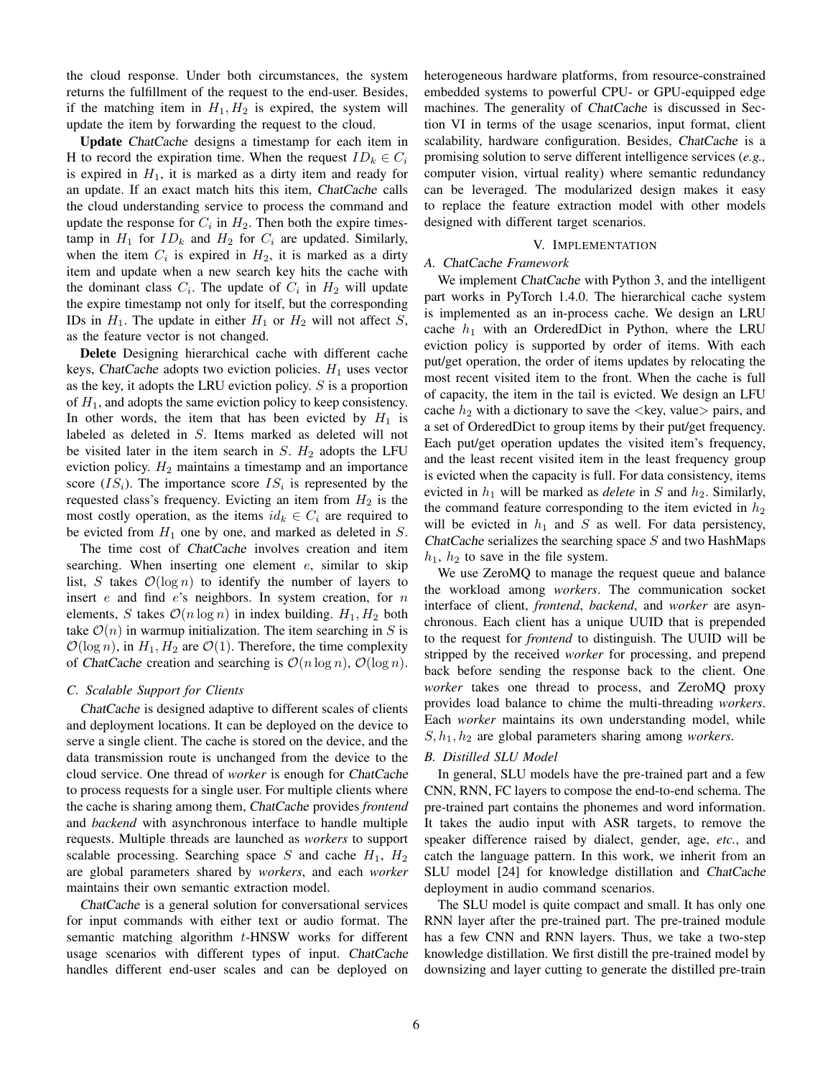the cloud response. Under both circumstances, the system returns the fulfillment of the request to the end-user. Besides, if the matching item in  $H_1, H_2$  is expired, the system will update the item by forwarding the request to the cloud.

Update ChatCache designs a timestamp for each item in H to record the expiration time. When the request  $ID_k \in C_i$ is expired in  $H_1$ , it is marked as a dirty item and ready for an update. If an exact match hits this item, ChatCache calls the cloud understanding service to process the command and update the response for  $C_i$  in  $H_2$ . Then both the expire timestamp in  $H_1$  for  $ID_k$  and  $H_2$  for  $C_i$  are updated. Similarly, when the item  $C_i$  is expired in  $H_2$ , it is marked as a dirty item and update when a new search key hits the cache with the dominant class  $C_i$ . The update of  $C_i$  in  $H_2$  will update the expire timestamp not only for itself, but the corresponding IDs in  $H_1$ . The update in either  $H_1$  or  $H_2$  will not affect S, as the feature vector is not changed.

Delete Designing hierarchical cache with different cache keys, ChatCache adopts two eviction policies.  $H_1$  uses vector as the key, it adopts the LRU eviction policy.  $S$  is a proportion of  $H_1$ , and adopts the same eviction policy to keep consistency. In other words, the item that has been evicted by  $H_1$  is labeled as deleted in S. Items marked as deleted will not be visited later in the item search in  $S$ .  $H_2$  adopts the LFU eviction policy.  $H_2$  maintains a timestamp and an importance score  $(IS_i)$ . The importance score  $IS_i$  is represented by the requested class's frequency. Evicting an item from  $H_2$  is the most costly operation, as the items  $id_k \in C_i$  are required to be evicted from  $H_1$  one by one, and marked as deleted in  $S$ .

The time cost of ChatCache involves creation and item searching. When inserting one element  $e$ , similar to skip list, S takes  $\mathcal{O}(\log n)$  to identify the number of layers to insert  $e$  and find  $e$ 's neighbors. In system creation, for  $n$ elements, S takes  $\mathcal{O}(n \log n)$  in index building.  $H_1, H_2$  both take  $\mathcal{O}(n)$  in warmup initialization. The item searching in S is  $\mathcal{O}(\log n)$ , in  $H_1, H_2$  are  $\mathcal{O}(1)$ . Therefore, the time complexity of ChatCache creation and searching is  $\mathcal{O}(n \log n)$ ,  $\mathcal{O}(\log n)$ .

# *C. Scalable Support for Clients*

ChatCache is designed adaptive to different scales of clients and deployment locations. It can be deployed on the device to serve a single client. The cache is stored on the device, and the data transmission route is unchanged from the device to the cloud service. One thread of *worker* is enough for ChatCache to process requests for a single user. For multiple clients where the cache is sharing among them, ChatCache provides *frontend* and *backend* with asynchronous interface to handle multiple requests. Multiple threads are launched as *workers* to support scalable processing. Searching space S and cache  $H_1$ ,  $H_2$ are global parameters shared by *workers*, and each *worker* maintains their own semantic extraction model.

ChatCache is a general solution for conversational services for input commands with either text or audio format. The semantic matching algorithm t-HNSW works for different usage scenarios with different types of input. ChatCache handles different end-user scales and can be deployed on heterogeneous hardware platforms, from resource-constrained embedded systems to powerful CPU- or GPU-equipped edge machines. The generality of *ChatCache* is discussed in Section VI in terms of the usage scenarios, input format, client scalability, hardware configuration. Besides, ChatCache is a promising solution to serve different intelligence services (*e.g.,* computer vision, virtual reality) where semantic redundancy can be leveraged. The modularized design makes it easy to replace the feature extraction model with other models designed with different target scenarios.

#### V. IMPLEMENTATION

## *A.* ChatCache *Framework*

We implement ChatCache with Python 3, and the intelligent part works in PyTorch 1.4.0. The hierarchical cache system is implemented as an in-process cache. We design an LRU cache  $h_1$  with an OrderedDict in Python, where the LRU eviction policy is supported by order of items. With each put/get operation, the order of items updates by relocating the most recent visited item to the front. When the cache is full of capacity, the item in the tail is evicted. We design an LFU cache  $h_2$  with a dictionary to save the <key, value> pairs, and a set of OrderedDict to group items by their put/get frequency. Each put/get operation updates the visited item's frequency, and the least recent visited item in the least frequency group is evicted when the capacity is full. For data consistency, items evicted in  $h_1$  will be marked as *delete* in S and  $h_2$ . Similarly, the command feature corresponding to the item evicted in  $h_2$ will be evicted in  $h_1$  and S as well. For data persistency, ChatCache serializes the searching space  $S$  and two HashMaps  $h_1$ ,  $h_2$  to save in the file system.

We use ZeroMQ to manage the request queue and balance the workload among *workers*. The communication socket interface of client, *frontend*, *backend*, and *worker* are asynchronous. Each client has a unique UUID that is prepended to the request for *frontend* to distinguish. The UUID will be stripped by the received *worker* for processing, and prepend back before sending the response back to the client. One *worker* takes one thread to process, and ZeroMQ proxy provides load balance to chime the multi-threading *workers*. Each *worker* maintains its own understanding model, while  $S, h<sub>1</sub>, h<sub>2</sub>$  are global parameters sharing among *workers*.

#### *B. Distilled SLU Model*

In general, SLU models have the pre-trained part and a few CNN, RNN, FC layers to compose the end-to-end schema. The pre-trained part contains the phonemes and word information. It takes the audio input with ASR targets, to remove the speaker difference raised by dialect, gender, age, *etc.*, and catch the language pattern. In this work, we inherit from an SLU model [24] for knowledge distillation and ChatCache deployment in audio command scenarios.

The SLU model is quite compact and small. It has only one RNN layer after the pre-trained part. The pre-trained module has a few CNN and RNN layers. Thus, we take a two-step knowledge distillation. We first distill the pre-trained model by downsizing and layer cutting to generate the distilled pre-train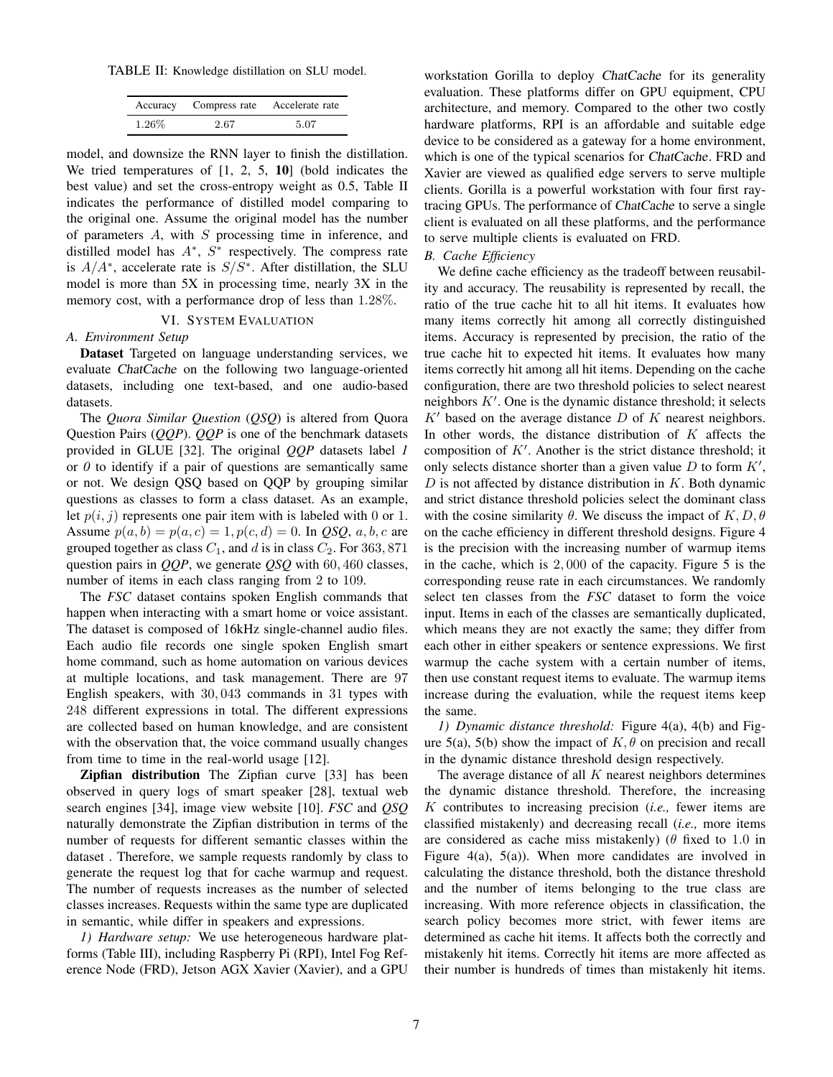TABLE II: Knowledge distillation on SLU model.

|          | Accuracy Compress rate Accelerate rate |      |
|----------|----------------------------------------|------|
| $1.26\%$ | 2.67                                   | 5.07 |

model, and downsize the RNN layer to finish the distillation. We tried temperatures of [1, 2, 5, 10] (bold indicates the best value) and set the cross-entropy weight as 0.5, Table II indicates the performance of distilled model comparing to the original one. Assume the original model has the number of parameters  $A$ , with  $S$  processing time in inference, and distilled model has  $A^*$ ,  $S^*$  respectively. The compress rate is  $A/A^*$ , accelerate rate is  $S/S^*$ . After distillation, the SLU model is more than 5X in processing time, nearly 3X in the memory cost, with a performance drop of less than 1.28%.

# VI. SYSTEM EVALUATION

# *A. Environment Setup*

Dataset Targeted on language understanding services, we evaluate ChatCache on the following two language-oriented datasets, including one text-based, and one audio-based datasets.

The *Quora Similar Question* (*QSQ*) is altered from Quora Question Pairs (*QQP*). *QQP* is one of the benchmark datasets provided in GLUE [32]. The original *QQP* datasets label *1* or *0* to identify if a pair of questions are semantically same or not. We design QSQ based on QQP by grouping similar questions as classes to form a class dataset. As an example, let  $p(i, j)$  represents one pair item with is labeled with 0 or 1. Assume  $p(a, b) = p(a, c) = 1, p(c, d) = 0$ . In *QSQ*, *a*, *b*, *c* are grouped together as class  $C_1$ , and d is in class  $C_2$ . For 363, 871 question pairs in *QQP*, we generate *QSQ* with 60, 460 classes, number of items in each class ranging from 2 to 109.

The *FSC* dataset contains spoken English commands that happen when interacting with a smart home or voice assistant. The dataset is composed of 16kHz single-channel audio files. Each audio file records one single spoken English smart home command, such as home automation on various devices at multiple locations, and task management. There are 97 English speakers, with 30, 043 commands in 31 types with 248 different expressions in total. The different expressions are collected based on human knowledge, and are consistent with the observation that, the voice command usually changes from time to time in the real-world usage [12].

Zipfian distribution The Zipfian curve [33] has been observed in query logs of smart speaker [28], textual web search engines [34], image view website [10]. *FSC* and *QSQ* naturally demonstrate the Zipfian distribution in terms of the number of requests for different semantic classes within the dataset . Therefore, we sample requests randomly by class to generate the request log that for cache warmup and request. The number of requests increases as the number of selected classes increases. Requests within the same type are duplicated in semantic, while differ in speakers and expressions.

*1) Hardware setup:* We use heterogeneous hardware platforms (Table III), including Raspberry Pi (RPI), Intel Fog Reference Node (FRD), Jetson AGX Xavier (Xavier), and a GPU

workstation Gorilla to deploy ChatCache for its generality evaluation. These platforms differ on GPU equipment, CPU architecture, and memory. Compared to the other two costly hardware platforms, RPI is an affordable and suitable edge device to be considered as a gateway for a home environment, which is one of the typical scenarios for ChatCache. FRD and Xavier are viewed as qualified edge servers to serve multiple clients. Gorilla is a powerful workstation with four first raytracing GPUs. The performance of ChatCache to serve a single client is evaluated on all these platforms, and the performance to serve multiple clients is evaluated on FRD.

# *B. Cache Efficiency*

We define cache efficiency as the tradeoff between reusability and accuracy. The reusability is represented by recall, the ratio of the true cache hit to all hit items. It evaluates how many items correctly hit among all correctly distinguished items. Accuracy is represented by precision, the ratio of the true cache hit to expected hit items. It evaluates how many items correctly hit among all hit items. Depending on the cache configuration, there are two threshold policies to select nearest neighbors  $K'$ . One is the dynamic distance threshold; it selects  $K'$  based on the average distance D of K nearest neighbors. In other words, the distance distribution of  $K$  affects the composition of  $K'$ . Another is the strict distance threshold; it only selects distance shorter than a given value  $D$  to form  $K'$ ,  $D$  is not affected by distance distribution in  $K$ . Both dynamic and strict distance threshold policies select the dominant class with the cosine similarity  $\theta$ . We discuss the impact of  $K, D, \theta$ on the cache efficiency in different threshold designs. Figure 4 is the precision with the increasing number of warmup items in the cache, which is 2, 000 of the capacity. Figure 5 is the corresponding reuse rate in each circumstances. We randomly select ten classes from the *FSC* dataset to form the voice input. Items in each of the classes are semantically duplicated, which means they are not exactly the same; they differ from each other in either speakers or sentence expressions. We first warmup the cache system with a certain number of items, then use constant request items to evaluate. The warmup items increase during the evaluation, while the request items keep the same.

*1) Dynamic distance threshold:* Figure 4(a), 4(b) and Figure 5(a), 5(b) show the impact of  $K, \theta$  on precision and recall in the dynamic distance threshold design respectively.

The average distance of all  $K$  nearest neighbors determines the dynamic distance threshold. Therefore, the increasing K contributes to increasing precision (*i.e.,* fewer items are classified mistakenly) and decreasing recall (*i.e.,* more items are considered as cache miss mistakenly) ( $\theta$  fixed to 1.0 in Figure  $4(a)$ ,  $5(a)$ ). When more candidates are involved in calculating the distance threshold, both the distance threshold and the number of items belonging to the true class are increasing. With more reference objects in classification, the search policy becomes more strict, with fewer items are determined as cache hit items. It affects both the correctly and mistakenly hit items. Correctly hit items are more affected as their number is hundreds of times than mistakenly hit items.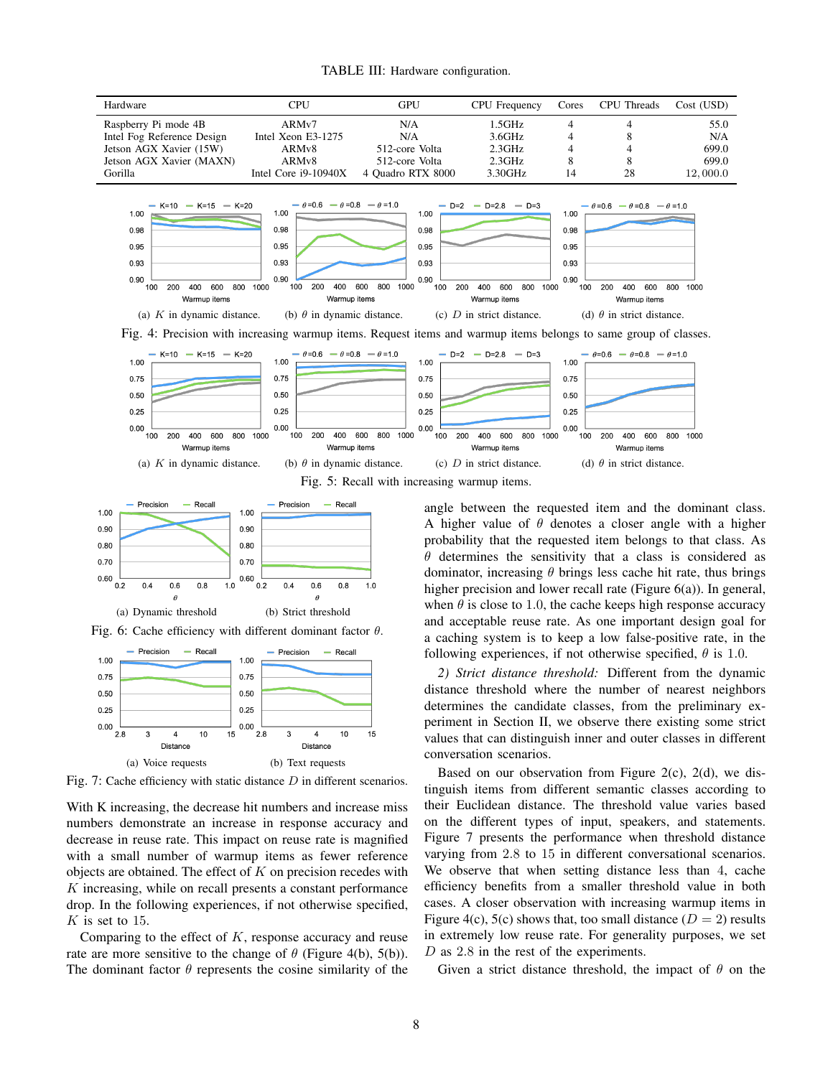



Fig. 5: Recall with increasing warmup items.



Fig. 6: Cache efficiency with different dominant factor  $\theta$ .



Fig. 7: Cache efficiency with static distance D in different scenarios.

With K increasing, the decrease hit numbers and increase miss numbers demonstrate an increase in response accuracy and decrease in reuse rate. This impact on reuse rate is magnified with a small number of warmup items as fewer reference objects are obtained. The effect of  $K$  on precision recedes with  $K$  increasing, while on recall presents a constant performance drop. In the following experiences, if not otherwise specified,  $K$  is set to 15.

Comparing to the effect of  $K$ , response accuracy and reuse rate are more sensitive to the change of  $\theta$  (Figure 4(b), 5(b)). The dominant factor  $\theta$  represents the cosine similarity of the angle between the requested item and the dominant class. A higher value of  $\theta$  denotes a closer angle with a higher probability that the requested item belongs to that class. As  $\theta$  determines the sensitivity that a class is considered as dominator, increasing  $\theta$  brings less cache hit rate, thus brings higher precision and lower recall rate (Figure 6(a)). In general, when  $\theta$  is close to 1.0, the cache keeps high response accuracy and acceptable reuse rate. As one important design goal for a caching system is to keep a low false-positive rate, in the following experiences, if not otherwise specified,  $\theta$  is 1.0.

*2) Strict distance threshold:* Different from the dynamic distance threshold where the number of nearest neighbors determines the candidate classes, from the preliminary experiment in Section II, we observe there existing some strict values that can distinguish inner and outer classes in different conversation scenarios.

Based on our observation from Figure 2(c), 2(d), we distinguish items from different semantic classes according to their Euclidean distance. The threshold value varies based on the different types of input, speakers, and statements. Figure 7 presents the performance when threshold distance varying from 2.8 to 15 in different conversational scenarios. We observe that when setting distance less than 4, cache efficiency benefits from a smaller threshold value in both cases. A closer observation with increasing warmup items in Figure 4(c), 5(c) shows that, too small distance  $(D = 2)$  results in extremely low reuse rate. For generality purposes, we set D as 2.8 in the rest of the experiments.

Given a strict distance threshold, the impact of  $\theta$  on the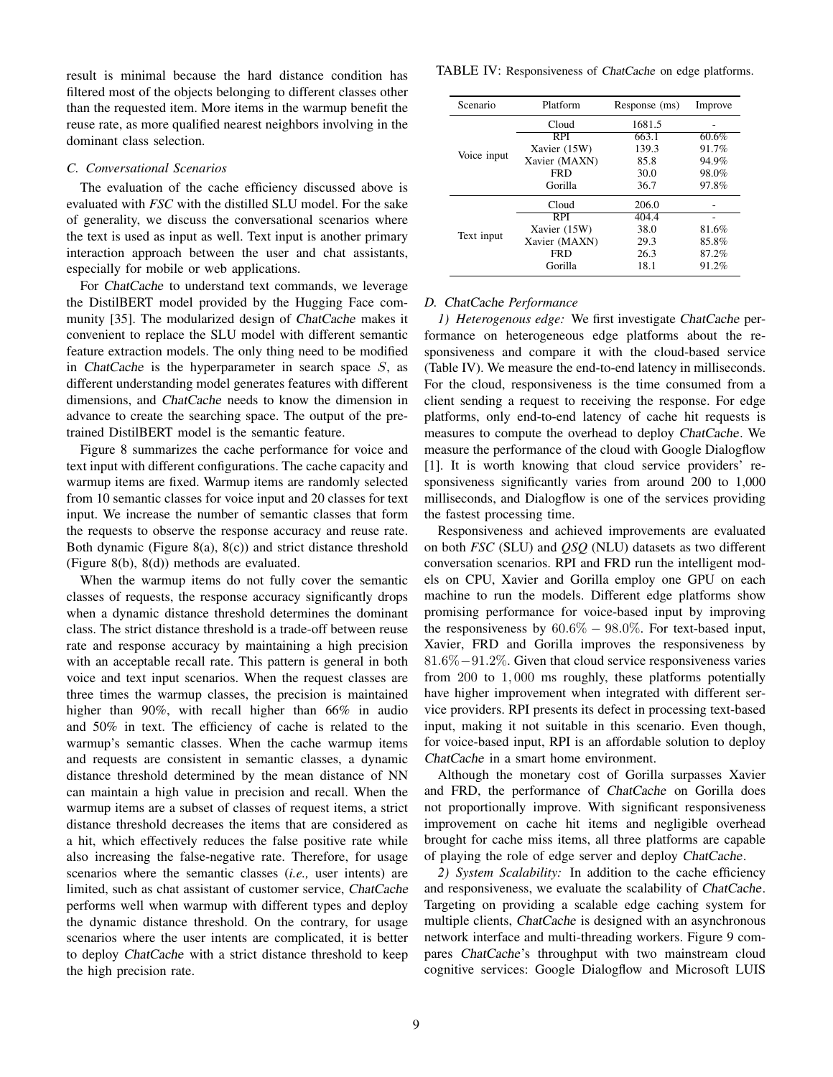result is minimal because the hard distance condition has filtered most of the objects belonging to different classes other than the requested item. More items in the warmup benefit the reuse rate, as more qualified nearest neighbors involving in the dominant class selection.

#### *C. Conversational Scenarios*

The evaluation of the cache efficiency discussed above is evaluated with *FSC* with the distilled SLU model. For the sake of generality, we discuss the conversational scenarios where the text is used as input as well. Text input is another primary interaction approach between the user and chat assistants, especially for mobile or web applications.

For ChatCache to understand text commands, we leverage the DistilBERT model provided by the Hugging Face community [35]. The modularized design of ChatCache makes it convenient to replace the SLU model with different semantic feature extraction models. The only thing need to be modified in ChatCache is the hyperparameter in search space  $S$ , as different understanding model generates features with different dimensions, and ChatCache needs to know the dimension in advance to create the searching space. The output of the pretrained DistilBERT model is the semantic feature.

Figure 8 summarizes the cache performance for voice and text input with different configurations. The cache capacity and warmup items are fixed. Warmup items are randomly selected from 10 semantic classes for voice input and 20 classes for text input. We increase the number of semantic classes that form the requests to observe the response accuracy and reuse rate. Both dynamic (Figure 8(a), 8(c)) and strict distance threshold (Figure 8(b), 8(d)) methods are evaluated.

When the warmup items do not fully cover the semantic classes of requests, the response accuracy significantly drops when a dynamic distance threshold determines the dominant class. The strict distance threshold is a trade-off between reuse rate and response accuracy by maintaining a high precision with an acceptable recall rate. This pattern is general in both voice and text input scenarios. When the request classes are three times the warmup classes, the precision is maintained higher than 90%, with recall higher than 66% in audio and 50% in text. The efficiency of cache is related to the warmup's semantic classes. When the cache warmup items and requests are consistent in semantic classes, a dynamic distance threshold determined by the mean distance of NN can maintain a high value in precision and recall. When the warmup items are a subset of classes of request items, a strict distance threshold decreases the items that are considered as a hit, which effectively reduces the false positive rate while also increasing the false-negative rate. Therefore, for usage scenarios where the semantic classes (*i.e.,* user intents) are limited, such as chat assistant of customer service, ChatCache performs well when warmup with different types and deploy the dynamic distance threshold. On the contrary, for usage scenarios where the user intents are complicated, it is better to deploy ChatCache with a strict distance threshold to keep the high precision rate.

TABLE IV: Responsiveness of ChatCache on edge platforms.

| Scenario    | Platform      | Response (ms) | Improve |
|-------------|---------------|---------------|---------|
| Voice input | Cloud         | 1681.5        |         |
|             | RPI           | 663.1         | 60.6%   |
|             | Xavier (15W)  | 139.3         | 91.7%   |
|             | Xavier (MAXN) | 85.8          | 94.9%   |
|             | <b>FRD</b>    | 30.0          | 98.0%   |
|             | Gorilla       | 36.7          | 97.8%   |
| Text input  | Cloud         | 206.0         |         |
|             | RPI           | 404.4         |         |
|             | Xavier (15W)  | 38.0          | 81.6%   |
|             | Xavier (MAXN) | 29.3          | 85.8%   |
|             | <b>FRD</b>    | 26.3          | 87.2%   |
|             | Gorilla       | 18.1          | 91.2%   |

## *D.* ChatCache *Performance*

*1) Heterogenous edge:* We first investigate ChatCache performance on heterogeneous edge platforms about the responsiveness and compare it with the cloud-based service (Table IV). We measure the end-to-end latency in milliseconds. For the cloud, responsiveness is the time consumed from a client sending a request to receiving the response. For edge platforms, only end-to-end latency of cache hit requests is measures to compute the overhead to deploy ChatCache. We measure the performance of the cloud with Google Dialogflow [1]. It is worth knowing that cloud service providers' responsiveness significantly varies from around 200 to 1,000 milliseconds, and Dialogflow is one of the services providing the fastest processing time.

Responsiveness and achieved improvements are evaluated on both *FSC* (SLU) and *QSQ* (NLU) datasets as two different conversation scenarios. RPI and FRD run the intelligent models on CPU, Xavier and Gorilla employ one GPU on each machine to run the models. Different edge platforms show promising performance for voice-based input by improving the responsiveness by  $60.6\% - 98.0\%$ . For text-based input, Xavier, FRD and Gorilla improves the responsiveness by 81.6%−91.2%. Given that cloud service responsiveness varies from 200 to 1, 000 ms roughly, these platforms potentially have higher improvement when integrated with different service providers. RPI presents its defect in processing text-based input, making it not suitable in this scenario. Even though, for voice-based input, RPI is an affordable solution to deploy ChatCache in a smart home environment.

Although the monetary cost of Gorilla surpasses Xavier and FRD, the performance of ChatCache on Gorilla does not proportionally improve. With significant responsiveness improvement on cache hit items and negligible overhead brought for cache miss items, all three platforms are capable of playing the role of edge server and deploy ChatCache.

*2) System Scalability:* In addition to the cache efficiency and responsiveness, we evaluate the scalability of ChatCache. Targeting on providing a scalable edge caching system for multiple clients, ChatCache is designed with an asynchronous network interface and multi-threading workers. Figure 9 compares ChatCache's throughput with two mainstream cloud cognitive services: Google Dialogflow and Microsoft LUIS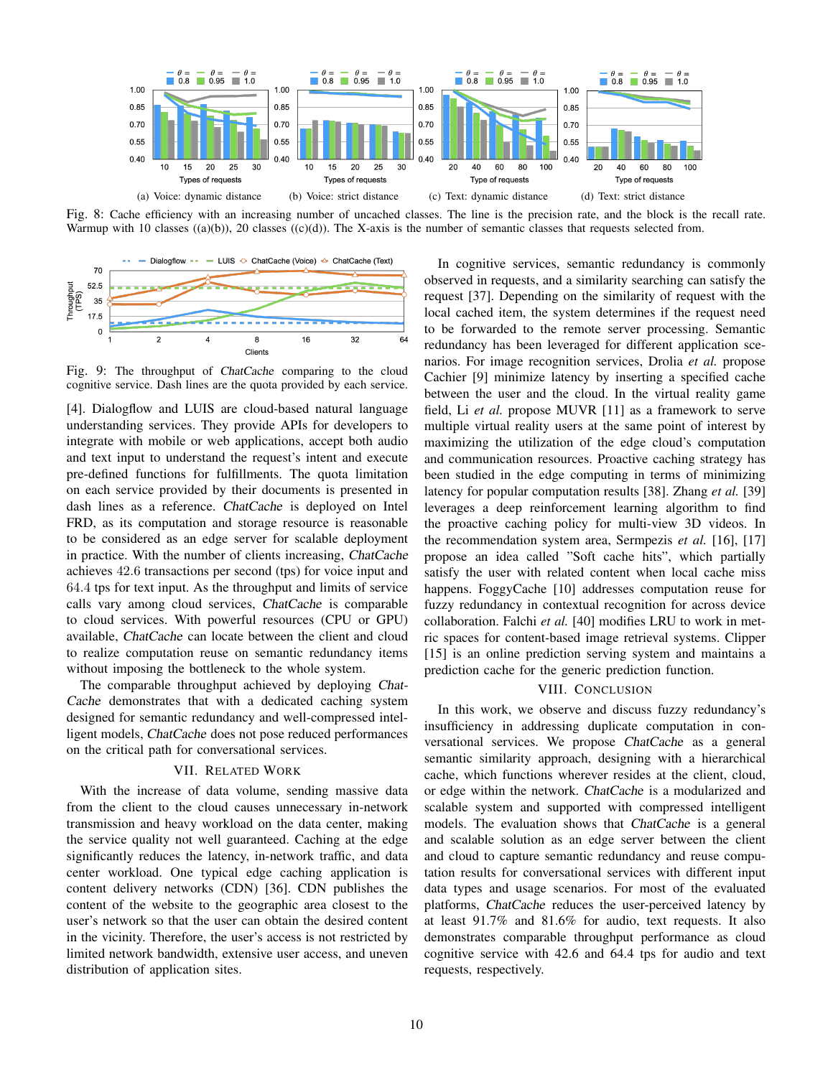

Fig. 8: Cache efficiency with an increasing number of uncached classes. The line is the precision rate, and the block is the recall rate. Warmup with 10 classes  $((a)(b))$ , 20 classes  $((c)(d))$ . The X-axis is the number of semantic classes that requests selected from.



Fig. 9: The throughput of ChatCache comparing to the cloud cognitive service. Dash lines are the quota provided by each service.

[4]. Dialogflow and LUIS are cloud-based natural language understanding services. They provide APIs for developers to integrate with mobile or web applications, accept both audio and text input to understand the request's intent and execute pre-defined functions for fulfillments. The quota limitation on each service provided by their documents is presented in dash lines as a reference. ChatCache is deployed on Intel FRD, as its computation and storage resource is reasonable to be considered as an edge server for scalable deployment in practice. With the number of clients increasing, ChatCache achieves 42.6 transactions per second (tps) for voice input and 64.4 tps for text input. As the throughput and limits of service calls vary among cloud services, ChatCache is comparable to cloud services. With powerful resources (CPU or GPU) available, ChatCache can locate between the client and cloud to realize computation reuse on semantic redundancy items without imposing the bottleneck to the whole system.

The comparable throughput achieved by deploying Chat-Cache demonstrates that with a dedicated caching system designed for semantic redundancy and well-compressed intelligent models, ChatCache does not pose reduced performances on the critical path for conversational services.

## VII. RELATED WORK

With the increase of data volume, sending massive data from the client to the cloud causes unnecessary in-network transmission and heavy workload on the data center, making the service quality not well guaranteed. Caching at the edge significantly reduces the latency, in-network traffic, and data center workload. One typical edge caching application is content delivery networks (CDN) [36]. CDN publishes the content of the website to the geographic area closest to the user's network so that the user can obtain the desired content in the vicinity. Therefore, the user's access is not restricted by limited network bandwidth, extensive user access, and uneven distribution of application sites.

In cognitive services, semantic redundancy is commonly observed in requests, and a similarity searching can satisfy the request [37]. Depending on the similarity of request with the local cached item, the system determines if the request need to be forwarded to the remote server processing. Semantic redundancy has been leveraged for different application scenarios. For image recognition services, Drolia *et al.* propose Cachier [9] minimize latency by inserting a specified cache between the user and the cloud. In the virtual reality game field, Li *et al.* propose MUVR [11] as a framework to serve multiple virtual reality users at the same point of interest by maximizing the utilization of the edge cloud's computation and communication resources. Proactive caching strategy has been studied in the edge computing in terms of minimizing latency for popular computation results [38]. Zhang *et al.* [39] leverages a deep reinforcement learning algorithm to find the proactive caching policy for multi-view 3D videos. In the recommendation system area, Sermpezis *et al.* [16], [17] propose an idea called "Soft cache hits", which partially satisfy the user with related content when local cache miss happens. FoggyCache [10] addresses computation reuse for fuzzy redundancy in contextual recognition for across device collaboration. Falchi *et al.* [40] modifies LRU to work in metric spaces for content-based image retrieval systems. Clipper [15] is an online prediction serving system and maintains a prediction cache for the generic prediction function.

#### VIII. CONCLUSION

In this work, we observe and discuss fuzzy redundancy's insufficiency in addressing duplicate computation in conversational services. We propose ChatCache as a general semantic similarity approach, designing with a hierarchical cache, which functions wherever resides at the client, cloud, or edge within the network. ChatCache is a modularized and scalable system and supported with compressed intelligent models. The evaluation shows that ChatCache is a general and scalable solution as an edge server between the client and cloud to capture semantic redundancy and reuse computation results for conversational services with different input data types and usage scenarios. For most of the evaluated platforms, ChatCache reduces the user-perceived latency by at least 91.7% and 81.6% for audio, text requests. It also demonstrates comparable throughput performance as cloud cognitive service with 42.6 and 64.4 tps for audio and text requests, respectively.